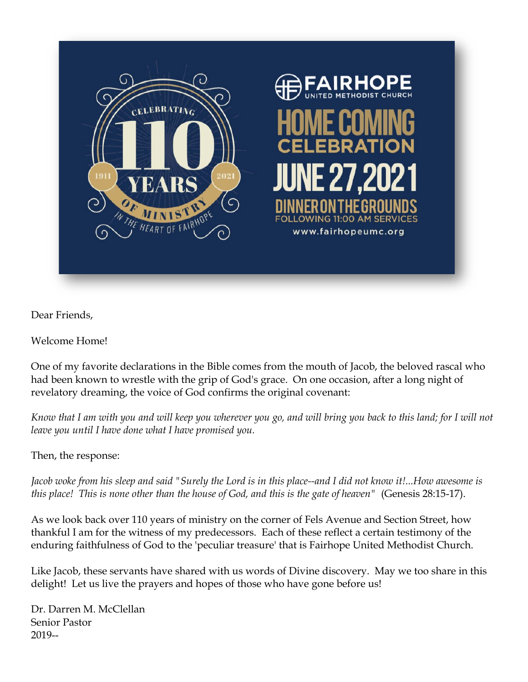

Dear Friends,

Welcome Home!

One of my favorite declarations in the Bible comes from the mouth of Jacob, the beloved rascal who had been known to wrestle with the grip of God's grace. On one occasion, after a long night of revelatory dreaming, the voice of God confirms the original covenant:

*Know that I am with you and will keep you wherever you go, and will bring you back to this land; for I will not leave you until I have done what I have promised you.*

Then, the response:

*Jacob woke from his sleep and said "Surely the Lord is in this place--and I did not know it!...How awesome is this place! This is none other than the house of God, and this is the gate of heaven"* (Genesis 28:15-17).

As we look back over 110 years of ministry on the corner of Fels Avenue and Section Street, how thankful I am for the witness of my predecessors. Each of these reflect a certain testimony of the enduring faithfulness of God to the 'peculiar treasure' that is Fairhope United Methodist Church.

Like Jacob, these servants have shared with us words of Divine discovery. May we too share in this delight! Let us live the prayers and hopes of those who have gone before us!

Dr. Darren M. McClellan Senior Pastor 2019--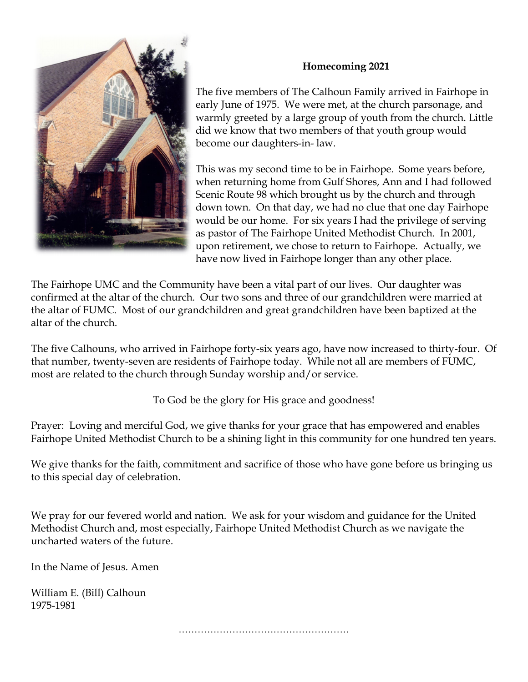

## **Homecoming 2021**

The five members of The Calhoun Family arrived in Fairhope in early June of 1975. We were met, at the church parsonage, and warmly greeted by a large group of youth from the church. Little did we know that two members of that youth group would become our daughters-in- law.

This was my second time to be in Fairhope. Some years before, when returning home from Gulf Shores, Ann and I had followed Scenic Route 98 which brought us by the church and through down town. On that day, we had no clue that one day Fairhope would be our home. For six years I had the privilege of serving as pastor of The Fairhope United Methodist Church. In 2001, upon retirement, we chose to return to Fairhope. Actually, we have now lived in Fairhope longer than any other place.

The Fairhope UMC and the Community have been a vital part of our lives. Our daughter was confirmed at the altar of the church. Our two sons and three of our grandchildren were married at the altar of FUMC. Most of our grandchildren and great grandchildren have been baptized at the altar of the church.

The five Calhouns, who arrived in Fairhope forty-six years ago, have now increased to thirty-four. Of that number, twenty-seven are residents of Fairhope today. While not all are members of FUMC, most are related to the church through Sunday worship and/or service.

To God be the glory for His grace and goodness!

Prayer: Loving and merciful God, we give thanks for your grace that has empowered and enables Fairhope United Methodist Church to be a shining light in this community for one hundred ten years.

We give thanks for the faith, commitment and sacrifice of those who have gone before us bringing us to this special day of celebration.

We pray for our fevered world and nation. We ask for your wisdom and guidance for the United Methodist Church and, most especially, Fairhope United Methodist Church as we navigate the uncharted waters of the future.

In the Name of Jesus. Amen

William E. (Bill) Calhoun 1975-1981

………………………………………………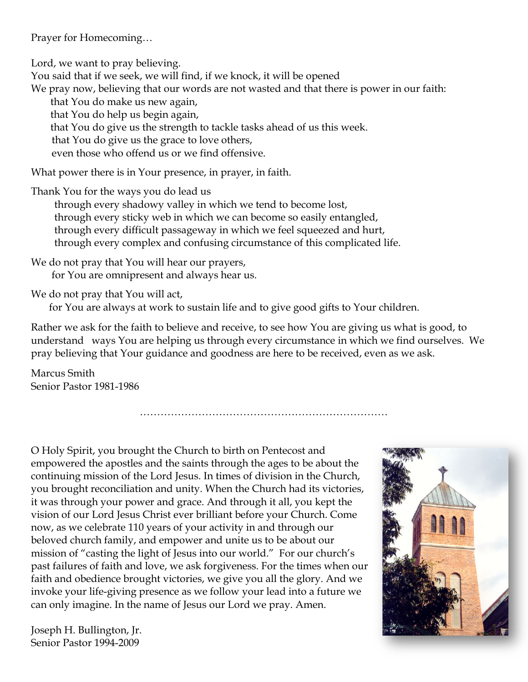Prayer for Homecoming…

Lord, we want to pray believing.

You said that if we seek, we will find, if we knock, it will be opened We pray now, believing that our words are not wasted and that there is power in our faith:

that You do make us new again, that You do help us begin again, that You do give us the strength to tackle tasks ahead of us this week. that You do give us the grace to love others, even those who offend us or we find offensive.

What power there is in Your presence, in prayer, in faith.

Thank You for the ways you do lead us

 through every shadowy valley in which we tend to become lost, through every sticky web in which we can become so easily entangled, through every difficult passageway in which we feel squeezed and hurt, through every complex and confusing circumstance of this complicated life.

We do not pray that You will hear our prayers, for You are omnipresent and always hear us.

We do not pray that You will act,

for You are always at work to sustain life and to give good gifts to Your children.

Rather we ask for the faith to believe and receive, to see how You are giving us what is good, to understand ways You are helping us through every circumstance in which we find ourselves. We pray believing that Your guidance and goodness are here to be received, even as we ask.

………………………………………………………………

Marcus Smith Senior Pastor 1981-1986

O Holy Spirit, you brought the Church to birth on Pentecost and empowered the apostles and the saints through the ages to be about the continuing mission of the Lord Jesus. In times of division in the Church, you brought reconciliation and unity. When the Church had its victories, it was through your power and grace. And through it all, you kept the vision of our Lord Jesus Christ ever brilliant before your Church. Come now, as we celebrate 110 years of your activity in and through our beloved church family, and empower and unite us to be about our mission of "casting the light of Jesus into our world." For our church's past failures of faith and love, we ask forgiveness. For the times when our faith and obedience brought victories, we give you all the glory. And we invoke your life-giving presence as we follow your lead into a future we can only imagine. In the name of Jesus our Lord we pray. Amen.

Joseph H. Bullington, Jr. Senior Pastor 1994-2009